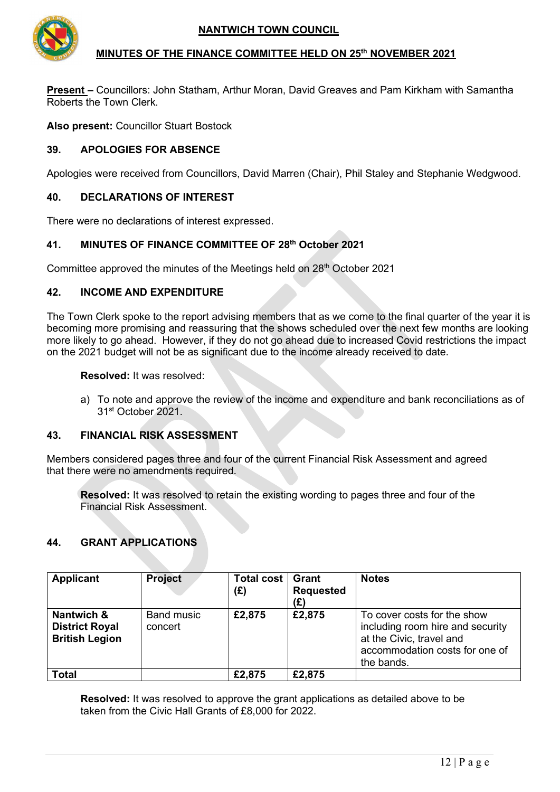## **NANTWICH TOWN COUNCIL**



#### **MINUTES OF THE FINANCE COMMITTEE HELD ON 25th NOVEMBER 2021**

**Present –** Councillors: John Statham, Arthur Moran, David Greaves and Pam Kirkham with Samantha Roberts the Town Clerk.

**Also present:** Councillor Stuart Bostock

## **39. APOLOGIES FOR ABSENCE**

Apologies were received from Councillors, David Marren (Chair), Phil Staley and Stephanie Wedgwood.

### **40. DECLARATIONS OF INTEREST**

There were no declarations of interest expressed.

## **41. MINUTES OF FINANCE COMMITTEE OF 28th October 2021**

Committee approved the minutes of the Meetings held on 28<sup>th</sup> October 2021

#### **42. INCOME AND EXPENDITURE**

The Town Clerk spoke to the report advising members that as we come to the final quarter of the year it is becoming more promising and reassuring that the shows scheduled over the next few months are looking more likely to go ahead. However, if they do not go ahead due to increased Covid restrictions the impact on the 2021 budget will not be as significant due to the income already received to date.

**Resolved:** It was resolved:

a) To note and approve the review of the income and expenditure and bank reconciliations as of 31st October 2021.

#### **43. FINANCIAL RISK ASSESSMENT**

Members considered pages three and four of the current Financial Risk Assessment and agreed that there were no amendments required.

**Resolved:** It was resolved to retain the existing wording to pages three and four of the Financial Risk Assessment.

## **44. GRANT APPLICATIONS**

| Applicant                                                    | <b>Project</b>        | Total cost<br>(E) | Grant<br><b>Requested</b><br>(£) | <b>Notes</b>                                                                                                                                |
|--------------------------------------------------------------|-----------------------|-------------------|----------------------------------|---------------------------------------------------------------------------------------------------------------------------------------------|
| Nantwich &<br><b>District Royal</b><br><b>British Legion</b> | Band music<br>concert | £2,875            | £2,875                           | To cover costs for the show<br>including room hire and security<br>at the Civic, travel and<br>accommodation costs for one of<br>the bands. |
| Total                                                        |                       | £2,875            | £2,875                           |                                                                                                                                             |

**Resolved:** It was resolved to approve the grant applications as detailed above to be taken from the Civic Hall Grants of £8,000 for 2022.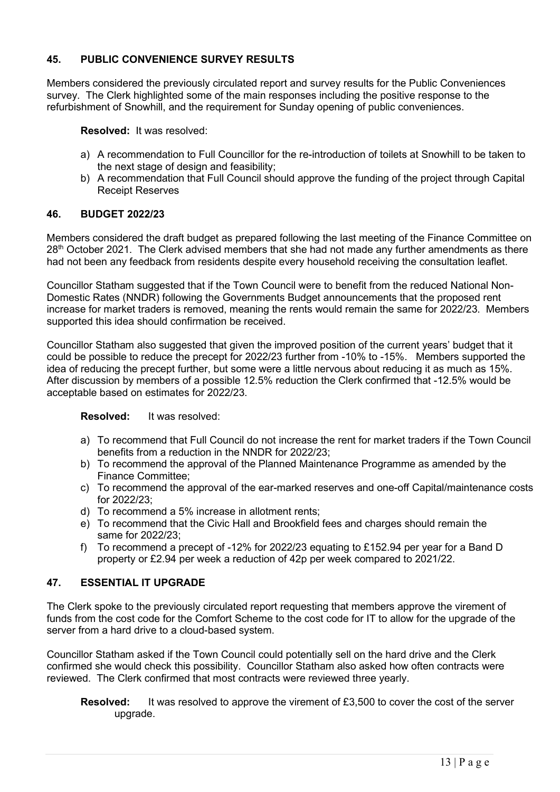# **45. PUBLIC CONVENIENCE SURVEY RESULTS**

Members considered the previously circulated report and survey results for the Public Conveniences survey. The Clerk highlighted some of the main responses including the positive response to the refurbishment of Snowhill, and the requirement for Sunday opening of public conveniences.

**Resolved:** It was resolved:

- a) A recommendation to Full Councillor for the re-introduction of toilets at Snowhill to be taken to the next stage of design and feasibility;
- b) A recommendation that Full Council should approve the funding of the project through Capital Receipt Reserves

## **46. BUDGET 2022/23**

Members considered the draft budget as prepared following the last meeting of the Finance Committee on 28<sup>th</sup> October 2021. The Clerk advised members that she had not made any further amendments as there had not been any feedback from residents despite every household receiving the consultation leaflet.

Councillor Statham suggested that if the Town Council were to benefit from the reduced National Non-Domestic Rates (NNDR) following the Governments Budget announcements that the proposed rent increase for market traders is removed, meaning the rents would remain the same for 2022/23. Members supported this idea should confirmation be received.

Councillor Statham also suggested that given the improved position of the current years' budget that it could be possible to reduce the precept for 2022/23 further from -10% to -15%. Members supported the idea of reducing the precept further, but some were a little nervous about reducing it as much as 15%. After discussion by members of a possible 12.5% reduction the Clerk confirmed that -12.5% would be acceptable based on estimates for 2022/23.

**Resolved:** It was resolved:

- a) To recommend that Full Council do not increase the rent for market traders if the Town Council benefits from a reduction in the NNDR for 2022/23;
- b) To recommend the approval of the Planned Maintenance Programme as amended by the Finance Committee;
- c) To recommend the approval of the ear-marked reserves and one-off Capital/maintenance costs for 2022/23;
- d) To recommend a 5% increase in allotment rents;
- e) To recommend that the Civic Hall and Brookfield fees and charges should remain the same for 2022/23;
- f) To recommend a precept of -12% for 2022/23 equating to £152.94 per year for a Band D property or £2.94 per week a reduction of 42p per week compared to 2021/22.

## **47. ESSENTIAL IT UPGRADE**

The Clerk spoke to the previously circulated report requesting that members approve the virement of funds from the cost code for the Comfort Scheme to the cost code for IT to allow for the upgrade of the server from a hard drive to a cloud-based system.

Councillor Statham asked if the Town Council could potentially sell on the hard drive and the Clerk confirmed she would check this possibility. Councillor Statham also asked how often contracts were reviewed. The Clerk confirmed that most contracts were reviewed three yearly.

```
Resolved: It was resolved to approve the virement of £3,500 to cover the cost of the server
upgrade.
```